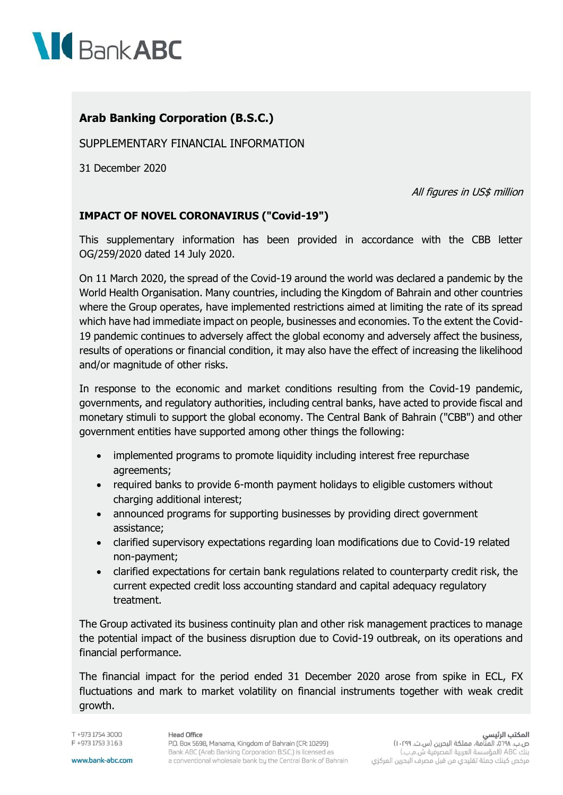

## **Arab Banking Corporation (B.S.C.)**

SUPPLEMENTARY FINANCIAL INFORMATION

31 December 2020

All figures in US\$ million

## **IMPACT OF NOVEL CORONAVIRUS ("Covid-19")**

This supplementary information has been provided in accordance with the CBB letter OG/259/2020 dated 14 July 2020.

On 11 March 2020, the spread of the Covid-19 around the world was declared a pandemic by the World Health Organisation. Many countries, including the Kingdom of Bahrain and other countries where the Group operates, have implemented restrictions aimed at limiting the rate of its spread which have had immediate impact on people, businesses and economies. To the extent the Covid-19 pandemic continues to adversely affect the global economy and adversely affect the business, results of operations or financial condition, it may also have the effect of increasing the likelihood and/or magnitude of other risks.

In response to the economic and market conditions resulting from the Covid-19 pandemic, governments, and regulatory authorities, including central banks, have acted to provide fiscal and monetary stimuli to support the global economy. The Central Bank of Bahrain ("CBB") and other government entities have supported among other things the following:

- implemented programs to promote liquidity including interest free repurchase agreements;
- required banks to provide 6-month payment holidays to eligible customers without charging additional interest;
- announced programs for supporting businesses by providing direct government assistance;
- clarified supervisory expectations regarding loan modifications due to Covid-19 related non-payment;
- clarified expectations for certain bank regulations related to counterparty credit risk, the current expected credit loss accounting standard and capital adequacy regulatory treatment.

The Group activated its business continuity plan and other risk management practices to manage the potential impact of the business disruption due to Covid-19 outbreak, on its operations and financial performance.

The financial impact for the period ended 31 December 2020 arose from spike in ECL, FX fluctuations and mark to market volatility on financial instruments together with weak credit growth.

T +973 1754 3000 F +973 1753 3163

## **Head Office**

P.O. Box 5698, Manama, Kingdom of Bahrain (CR: 10299) Bank ABC (Arab Banking Corporation B.S.C.) is licensed as a conventional wholesale bank by the Central Bank of Bahrain